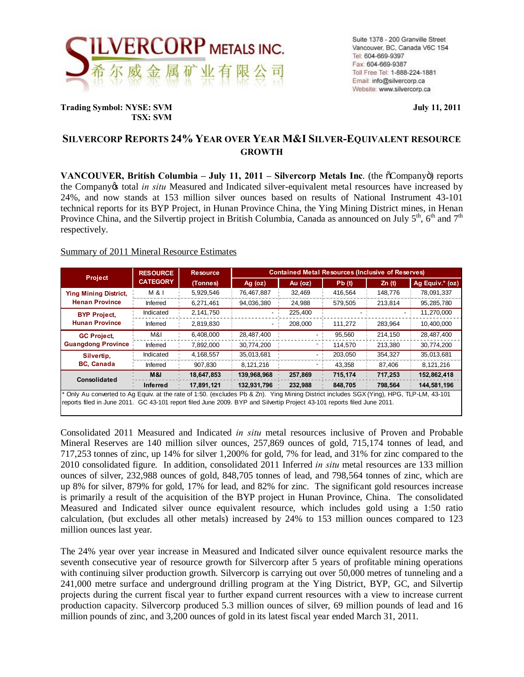

**Trading Symbol: NYSE: SVM July 11, 2011 TSX: SVM**

# **SILVERCORP REPORTS 24% YEAR OVER YEAR M&I SILVER-EQUIVALENT RESOURCE GROWTH**

**VANCOUVER, British Columbia – July 11, 2011 – Silvercorp Metals Inc. (the**  $\tilde{o}$ **Company** $\tilde{o}$ **) reports** the Company's total *in situ* Measured and Indicated silver-equivalent metal resources have increased by 24%, and now stands at 153 million silver ounces based on results of National Instrument 43-101 technical reports for its BYP Project, in Hunan Province China, the Ying Mining District mines, in Henan Province China, and the Silvertip project in British Columbia, Canada as announced on July  $5<sup>th</sup>$ ,  $6<sup>th</sup>$  and  $7<sup>th</sup>$ respectively.

## Summary of 2011 Mineral Resource Estimates

| <b>Project</b>                                                                                                                        | <b>RESOURCE</b><br><b>CATEGORY</b> | <b>Resource</b> | <b>Contained Metal Resources (Inclusive of Reserves)</b> |         |         |         |                 |
|---------------------------------------------------------------------------------------------------------------------------------------|------------------------------------|-----------------|----------------------------------------------------------|---------|---------|---------|-----------------|
|                                                                                                                                       |                                    | (Tonnes)        | Ag (oz)                                                  | Au (oz) | Pb(t)   | Zn(t)   | Ag Equiv.* (oz) |
| <b>Ying Mining District,</b><br><b>Henan Province</b>                                                                                 | M & I                              | 5,929,546       | 76,467,887                                               | 32.469  | 416,564 | 148.776 | 78,091,337      |
|                                                                                                                                       | Inferred                           | 6,271,461       | 94,036,380                                               | 24,988  | 579,505 | 213.814 | 95,285,780      |
| <b>BYP Project.</b><br><b>Hunan Province</b>                                                                                          | Indicated                          | 2,141,750       |                                                          | 225,400 |         |         | 11,270,000      |
|                                                                                                                                       | Inferred                           | 2,819,830       |                                                          | 208.000 | 111.272 | 283,964 | 10,400,000      |
| <b>GC Project,</b><br><b>Guangdong Province</b>                                                                                       | M&I                                | 6,408,000       | 28,487,400                                               |         | 95,560  | 214,150 | 28,487,400      |
|                                                                                                                                       | Inferred                           | 7,892,000       | 30,774,200                                               |         | 114,570 | 213,380 | 30,774,200      |
| Silvertip,<br><b>BC, Canada</b>                                                                                                       | Indicated                          | 4,168,557       | 35,013,681                                               |         | 203,050 | 354,327 | 35,013,681      |
|                                                                                                                                       | Inferred                           | 907,830         | 8,121,216                                                |         | 43,358  | 87,406  | 8,121,216       |
| Consolidated                                                                                                                          | <b>M&amp;I</b>                     | 18,647,853      | 139,968,968                                              | 257,869 | 715,174 | 717,253 | 152,862,418     |
|                                                                                                                                       | Inferred                           | 17.891.121      | 132,931,796                                              | 232.988 | 848.705 | 798.564 | 144,581,196     |
| Only Au converted to Ag Equiv. at the rate of 1:50. (excludes Pb & Zn). Ying Mining District includes SGX (Ying), HPG, TLP-LM, 43-101 |                                    |                 |                                                          |         |         |         |                 |
| reports filed in June 2011. GC 43-101 report filed June 2009. BYP and Silvertip Project 43-101 reports filed June 2011.               |                                    |                 |                                                          |         |         |         |                 |

Consolidated 2011 Measured and Indicated *in situ* metal resources inclusive of Proven and Probable Mineral Reserves are 140 million silver ounces, 257,869 ounces of gold, 715,174 tonnes of lead, and 717,253 tonnes of zinc, up 14% for silver 1,200% for gold, 7% for lead, and 31% for zinc compared to the 2010 consolidated figure. In addition, consolidated 2011 Inferred *in situ* metal resources are 133 million ounces of silver, 232,988 ounces of gold, 848,705 tonnes of lead, and 798,564 tonnes of zinc, which are up 8% for silver, 879% for gold, 17% for lead, and 82% for zinc. The significant gold resources increase is primarily a result of the acquisition of the BYP project in Hunan Province, China. The consolidated Measured and Indicated silver ounce equivalent resource, which includes gold using a 1:50 ratio calculation, (but excludes all other metals) increased by 24% to 153 million ounces compared to 123 million ounces last year.

The 24% year over year increase in Measured and Indicated silver ounce equivalent resource marks the seventh consecutive year of resource growth for Silvercorp after 5 years of profitable mining operations with continuing silver production growth. Silvercorp is carrying out over 50,000 metres of tunneling and a 241,000 metre surface and underground drilling program at the Ying District, BYP, GC, and Silvertip projects during the current fiscal year to further expand current resources with a view to increase current production capacity. Silvercorp produced 5.3 million ounces of silver, 69 million pounds of lead and 16 million pounds of zinc, and 3,200 ounces of gold in its latest fiscal year ended March 31, 2011.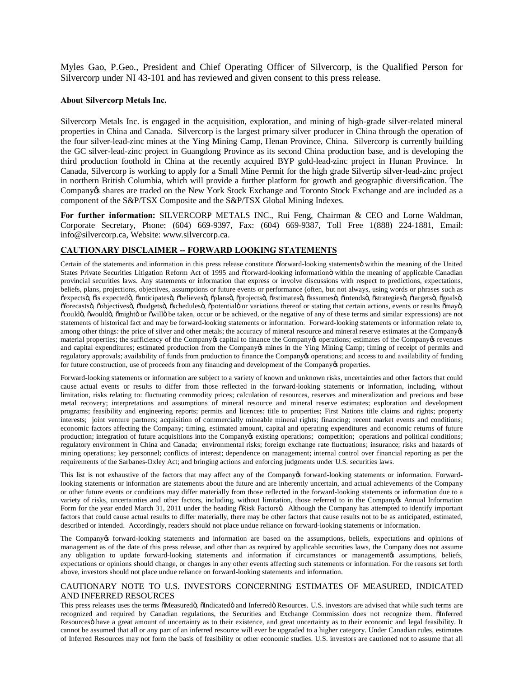Myles Gao, P.Geo., President and Chief Operating Officer of Silvercorp, is the Qualified Person for Silvercorp under NI 43-101 and has reviewed and given consent to this press release.

#### **About Silvercorp Metals Inc.**

Silvercorp Metals Inc. is engaged in the acquisition, exploration, and mining of high-grade silver-related mineral properties in China and Canada. Silvercorp is the largest primary silver producer in China through the operation of the four silver-lead-zinc mines at the Ying Mining Camp, Henan Province, China. Silvercorp is currently building the GC silver-lead-zinc project in Guangdong Province as its second China production base, and is developing the third production foothold in China at the recently acquired BYP gold-lead-zinc project in Hunan Province. In Canada, Silvercorp is working to apply for a Small Mine Permit for the high grade Silvertip silver-lead-zinc project in northern British Columbia, which will provide a further platform for growth and geographic diversification. The Company ts shares are traded on the New York Stock Exchange and Toronto Stock Exchange and are included as a component of the S&P/TSX Composite and the S&P/TSX Global Mining Indexes.

**For further information:** SILVERCORP METALS INC., Rui Feng, Chairman & CEO and Lorne Waldman, Corporate Secretary, Phone: (604) 669-9397, Fax: (604) 669-9387, Toll Free 1(888) 224-1881, Email: info@silvercorp.ca, Website: www.silvercorp.ca.

### **CAUTIONARY DISCLAIMER -- FORWARD LOOKING STATEMENTS**

Certain of the statements and information in this press release constitute offorward-looking statements within the meaning of the United States Private Securities Litigation Reform Act of 1995 and öforward-looking information within the meaning of applicable Canadian provincial securities laws. Any statements or information that express or involve discussions with respect to predictions, expectations, beliefs, plans, projections, objectives, assumptions or future events or performance (often, but not always, using words or phrases such as õexpectsö, õis expectedö, õanticipatesö, õbelievesö, õplansö, õprojectsö, õestimatesö, õassumesö, õintendsö, õstrategiesö, õtargetsö, õgoalsö, õforecastsö, õobjectivesö, õbudgetsö, õschedulesö, õpotentialö or variations thereof or stating that certain actions, events or results õmayö, "could", "would", "might" or "will" be taken, occur or be achieved, or the negative of any of these terms and similar expressions) are not statements of historical fact and may be forward-looking statements or information. Forward-looking statements or information relate to, among other things: the price of silver and other metals; the accuracy of mineral resource and mineral reserve estimates at the Companyos material properties; the sufficiency of the Company scapital to finance the Company soperations; estimates of the Company is revenues and capital expenditures; estimated production from the Company mines in the Ying Mining Camp; timing of receipt of permits and regulatory approvals; availability of funds from production to finance the Company to operations; and access to and availability of funding for future construction, use of proceeds from any financing and development of the Company of properties.

Forward-looking statements or information are subject to a variety of known and unknown risks, uncertainties and other factors that could cause actual events or results to differ from those reflected in the forward-looking statements or information, including, without limitation, risks relating to: fluctuating commodity prices; calculation of resources, reserves and mineralization and precious and base metal recovery; interpretations and assumptions of mineral resource and mineral reserve estimates; exploration and development programs; feasibility and engineering reports; permits and licences; title to properties; First Nations title claims and rights; property interests; joint venture partners; acquisition of commercially mineable mineral rights; financing; recent market events and conditions; economic factors affecting the Company; timing, estimated amount, capital and operating expenditures and economic returns of future production; integration of future acquisitions into the Company existing operations; competition; operations and political conditions; regulatory environment in China and Canada; environmental risks; foreign exchange rate fluctuations; insurance; risks and hazards of mining operations; key personnel; conflicts of interest; dependence on management; internal control over financial reporting as per the requirements of the Sarbanes-Oxley Act; and bringing actions and enforcing judgments under U.S. securities laws.

This list is not exhaustive of the factors that may affect any of the Company& forward-looking statements or information. Forwardlooking statements or information are statements about the future and are inherently uncertain, and actual achievements of the Company or other future events or conditions may differ materially from those reflected in the forward-looking statements or information due to a variety of risks, uncertainties and other factors, including, without limitation, those referred to in the Company's Annual Information Form for the year ended March 31, 2011 under the heading  $\delta$ Risk Factorsö. Although the Company has attempted to identify important factors that could cause actual results to differ materially, there may be other factors that cause results not to be as anticipated, estimated, described or intended. Accordingly, readers should not place undue reliance on forward-looking statements or information.

The Company of forward-looking statements and information are based on the assumptions, beliefs, expectations and opinions of management as of the date of this press release, and other than as required by applicable securities laws, the Company does not assume any obligation to update forward-looking statements and information if circumstances or management ts assumptions, beliefs, expectations or opinions should change, or changes in any other events affecting such statements or information. For the reasons set forth above, investors should not place undue reliance on forward-looking statements and information.

#### CAUTIONARY NOTE TO U.S. INVESTORS CONCERNING ESTIMATES OF MEASURED, INDICATED AND INFERRED RESOURCES

This press releases uses the terms  $\delta$ Measuredö,  $\delta$ Indicatedö and Inferredö Resources. U.S. investors are advised that while such terms are recognized and required by Canadian regulations, the Securities and Exchange Commission does not recognize them.  $\tilde{o}$ Inferred Resources o have a great amount of uncertainty as to their existence, and great uncertainty as to their economic and legal feasibility. It cannot be assumed that all or any part of an inferred resource will ever be upgraded to a higher category. Under Canadian rules, estimates of Inferred Resources may not form the basis of feasibility or other economic studies. U.S. investors are cautioned not to assume that all